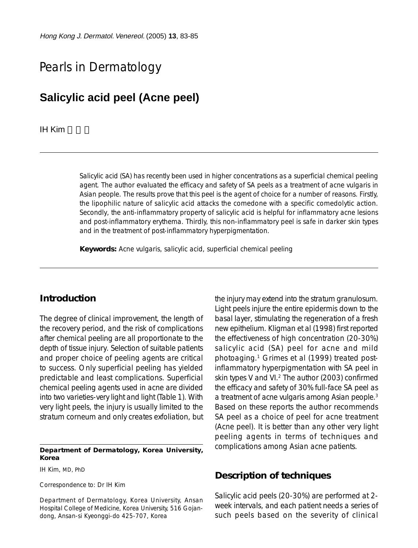# Pearls in Dermatology

# **Salicylic acid peel (Acne peel)**

**IH Kim** 

Salicylic acid (SA) has recently been used in higher concentrations as a superficial chemical peeling agent. The author evaluated the efficacy and safety of SA peels as a treatment of acne vulgaris in Asian people. The results prove that this peel is the agent of choice for a number of reasons. Firstly, the lipophilic nature of salicylic acid attacks the comedone with a specific comedolytic action. Secondly, the anti-inflammatory property of salicylic acid is helpful for inflammatory acne lesions and post-inflammatory erythema. Thirdly, this non-inflammatory peel is safe in darker skin types and in the treatment of post-inflammatory hyperpigmentation.

**Keywords:** Acne vulgaris, salicylic acid, superficial chemical peeling

### **Introduction**

The degree of clinical improvement, the length of the recovery period, and the risk of complications after chemical peeling are all proportionate to the depth of tissue injury. Selection of suitable patients and proper choice of peeling agents are critical to success. Only superficial peeling has yielded predictable and least complications. Superficial chemical peeling agents used in acne are divided into two varieties-very light and light (Table 1). With very light peels, the injury is usually limited to the stratum corneum and only creates exfoliation, but

#### **Department of Dermatology, Korea University, Korea**

IH Kim, MD, PhD

Correspondence to: Dr IH Kim

Department of Dermatology, Korea University, Ansan Hospital College of Medicine, Korea University, 516 Gojandong, Ansan-si Kyeonggi-do 425-707, Korea

the injury may extend into the stratum granulosum. Light peels injure the entire epidermis down to the basal layer, stimulating the regeneration of a fresh new epithelium. Kligman et al (1998) first reported the effectiveness of high concentration (20-30%) salicylic acid (SA) peel for acne and mild photoaging.1 Grimes et al (1999) treated postinflammatory hyperpigmentation with SA peel in skin types V and VI.<sup>2</sup> The author (2003) confirmed the efficacy and safety of 30% full-face SA peel as a treatment of acne vulgaris among Asian people.3 Based on these reports the author recommends SA peel as a choice of peel for acne treatment (Acne peel). It is better than any other very light peeling agents in terms of techniques and complications among Asian acne patients.

#### **Description of techniques**

Salicylic acid peels (20-30%) are performed at 2 week intervals, and each patient needs a series of such peels based on the severity of clinical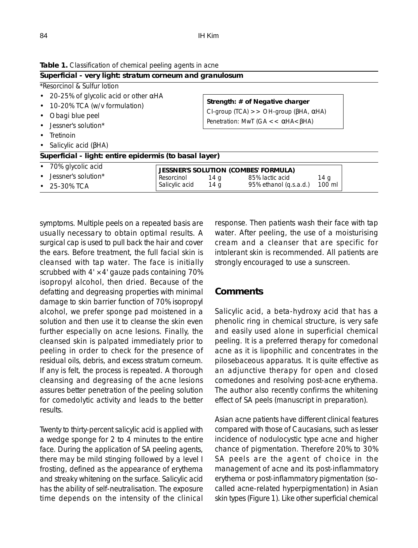| Superficial - very light: stratum corneum and granulosum                                                                               |                                             |                                                                                                                                                 |                        |        |  |
|----------------------------------------------------------------------------------------------------------------------------------------|---------------------------------------------|-------------------------------------------------------------------------------------------------------------------------------------------------|------------------------|--------|--|
| *Resorcinol & Sulfur lotion                                                                                                            |                                             |                                                                                                                                                 |                        |        |  |
| • 20-25% of glycolic acid or other $\alpha$ HA<br>• 10-20% TCA (w/v formulation)<br>• Obagi blue peel<br>$\bullet$ Jessner's solution* |                                             | Strength: # of Negative charger<br>CI-group (TCA) $>>$ OH-group ( $\beta$ HA, $\alpha$ HA)<br>Penetration: MwT (GA $<< \alpha$ HA $< \beta$ HA) |                        |        |  |
|                                                                                                                                        |                                             |                                                                                                                                                 |                        |        |  |
|                                                                                                                                        |                                             |                                                                                                                                                 |                        |        |  |
|                                                                                                                                        |                                             |                                                                                                                                                 |                        |        |  |
| $\bullet$ Tretinoin                                                                                                                    |                                             |                                                                                                                                                 |                        |        |  |
| • Salicylic acid ( $\beta$ HA)                                                                                                         |                                             |                                                                                                                                                 |                        |        |  |
| Superficial - light: entire epidermis (to basal layer)                                                                                 |                                             |                                                                                                                                                 |                        |        |  |
| • 70% glycolic acid                                                                                                                    | <b>JESSNER'S SOLUTION (COMBES' FORMULA)</b> |                                                                                                                                                 |                        |        |  |
| $\bullet$ Jessner's solution*                                                                                                          | Resorcinol                                  | 14 g                                                                                                                                            | 85% lactic acid        | 14 g   |  |
| $\bullet$ 25-30% TCA                                                                                                                   | Salicylic acid                              | 14 g                                                                                                                                            | 95% ethanol (q.s.a.d.) | 100 ml |  |

**Table 1.** Classification of chemical peeling agents in acne

symptoms. Multiple peels on a repeated basis are usually necessary to obtain optimal results. A surgical cap is used to pull back the hair and cover the ears. Before treatment, the full facial skin is cleansed with tap water. The face is initially scrubbed with  $4' \times 4'$  gauze pads containing 70% isopropyl alcohol, then dried. Because of the defatting and degreasing properties with minimal damage to skin barrier function of 70% isopropyl alcohol, we prefer sponge pad moistened in a solution and then use it to cleanse the skin even further especially on acne lesions. Finally, the cleansed skin is palpated immediately prior to peeling in order to check for the presence of residual oils, debris, and excess stratum corneum. If any is felt, the process is repeated. A thorough cleansing and degreasing of the acne lesions assures better penetration of the peeling solution for comedolytic activity and leads to the better results.

Twenty to thirty-percent salicylic acid is applied with a wedge sponge for 2 to 4 minutes to the entire face. During the application of SA peeling agents, there may be mild stinging followed by a level I frosting, defined as the appearance of erythema and streaky whitening on the surface. Salicylic acid has the ability of self-neutralisation. The exposure time depends on the intensity of the clinical response. Then patients wash their face with tap water. After peeling, the use of a moisturising cream and a cleanser that are specific for intolerant skin is recommended. All patients are strongly encouraged to use a sunscreen.

### **Comments**

Salicylic acid, a beta-hydroxy acid that has a phenolic ring in chemical structure, is very safe and easily used alone in superficial chemical peeling. It is a preferred therapy for comedonal acne as it is lipophilic and concentrates in the pilosebaceous apparatus. It is quite effective as an adjunctive therapy for open and closed comedones and resolving post-acne erythema. The author also recently confirms the whitening effect of SA peels (manuscript in preparation).

Asian acne patients have different clinical features compared with those of Caucasians, such as lesser incidence of nodulocystic type acne and higher chance of pigmentation. Therefore 20% to 30% SA peels are the agent of choice in the management of acne and its post-inflammatory erythema or post-inflammatory pigmentation (socalled acne-related hyperpigmentation) in Asian skin types (Figure 1). Like other superficial chemical